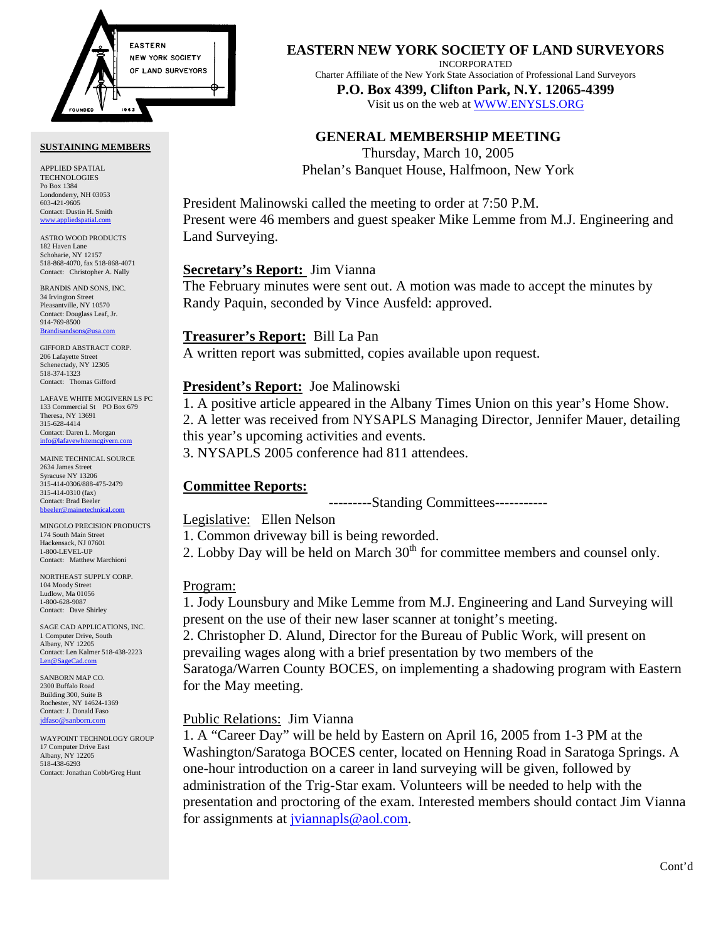

#### **SUSTAINING MEMBERS**

APPLIED SPATIAL TECHNOLOGIES Po Box 1384 Londonderry, NH 03053 603-421-9605 Contact: Dustin H. Smith <www.appliedspatial.com>

ASTRO WOOD PRODUCTS 182 Haven Lane Schoharie, NY 12157 518-868-4070, fax 518-868-4071 Contact: Christopher A. Nally

BRANDIS AND SONS, INC. 34 Irvington Street Pleasantville, NY 10570 Contact: Douglass Leaf, Jr. 914-769-8500 **Brandisar** 

GIFFORD ABSTRACT CORP. 206 Lafayette Street Schenectady, NY 12305 518-374-1323 Contact: Thomas Gifford

LAFAVE WHITE MCGIVERN LS PC 133 Commercial St PO Box 679 Theresa, NY 13691 315-628-4414 Contact: Daren L. Morgan [info@lafavewhitemcgivern.com](mailto:info@lafavewhitemcgivern.com)

MAINE TECHNICAL SOURCE 2634 James Street Syracuse NY 13206 315-414-0306/888-475-2479 315-414-0310 (fax) Contact: Brad Beeler [bbeeler@mainetechnical.com](mailto:bbeeler@mainetechnical.com)

MINGOLO PRECISION PRODUCTS 174 South Main Street Hackensack, NJ 07601 1-800-LEVEL-UP Contact: Matthew Marchioni

NORTHEAST SUPPLY CORP. 104 Moody Street Ludlow, Ma 01056 1-800-628-9087 Contact: Dave Shirley

SAGE CAD APPLICATIONS, INC. 1 Computer Drive, South Albany, NY 12205 Contact: Len Kalmer 518-438-2223 [Len@SageCad.com](mailto:len@sagecad.com)

SANBORN MAP CO. 2300 Buffalo Road Building 300, Suite B Rochester, NY 14624-1369 Contact: J. Donald Faso [jdfaso@sanborn.com](mailto:jdfaso@sanborn.com)

WAYPOINT TECHNOLOGY GROUP 17 Computer Drive East Albany, NY 12205 518-438-6293 Contact: Jonathan Cobb/Greg Hunt

## **EASTERN NEW YORK SOCIETY OF LAND SURVEYORS**

INCORPORATED

Charter Affiliate of the New York State Association of Professional Land Surveyors **P.O. Box 4399, Clifton Park, N.Y. 12065-4399** 

Visit us on the web a[t WWW.ENYSLS.ORG](www.enysls.org)

# **GENERAL MEMBERSHIP MEETING**

Thursday, March 10, 2005 Phelan's Banquet House, Halfmoon, New York

President Malinowski called the meeting to order at 7:50 P.M. Present were 46 members and guest speaker Mike Lemme from M.J. Engineering and Land Surveying.

## **Secretary's Report:** Jim Vianna

The February minutes were sent out. A motion was made to accept the minutes by Randy Paquin, seconded by Vince Ausfeld: approved.

## **Treasurer's Report:** Bill La Pan

A written report was submitted, copies available upon request.

# **President's Report:** Joe Malinowski

1. A positive article appeared in the Albany Times Union on this year's Home Show. 2. A letter was received from NYSAPLS Managing Director, Jennifer Mauer, detailing this year's upcoming activities and events.

3. NYSAPLS 2005 conference had 811 attendees.

# **Committee Reports:**

---------Standing Committees-----------

## Legislative: Ellen Nelson

1. Common driveway bill is being reworded.

2. Lobby Day will be held on March  $30<sup>th</sup>$  for committee members and counsel only.

# Program:

1. Jody Lounsbury and Mike Lemme from M.J. Engineering and Land Surveying will present on the use of their new laser scanner at tonight's meeting.

2. Christopher D. Alund, Director for the Bureau of Public Work, will present on prevailing wages along with a brief presentation by two members of the Saratoga/Warren County BOCES, on implementing a shadowing program with Eastern for the May meeting.

# Public Relations: Jim Vianna

1. A "Career Day" will be held by Eastern on April 16, 2005 from 1-3 PM at the Washington/Saratoga BOCES center, located on Henning Road in Saratoga Springs. A one-hour introduction on a career in land surveying will be given, followed by administration of the Trig-Star exam. Volunteers will be needed to help with the presentation and proctoring of the exam. Interested members should contact Jim Vianna for assignments a[t jviannapls@aol.com.](mailto:jviannapls@aol.com)